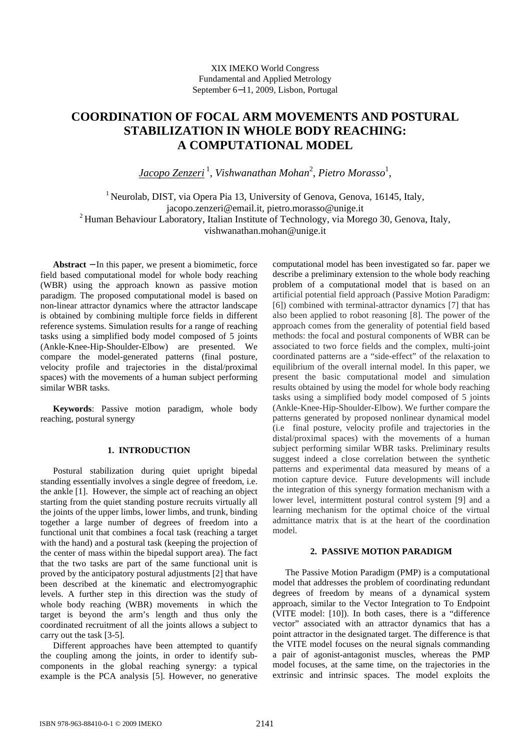# **COORDINATION OF FOCAL ARM MOVEMENTS AND POSTURAL STABILIZATION IN WHOLE BODY REACHING: A COMPUTATIONAL MODEL**

*Jacopo Zenzeri*<sup>1</sup> , *Vishwanathan Mohan*<sup>2</sup> , *Pietro Morasso*<sup>1</sup> *,* 

<sup>1</sup> Neurolab, DIST, via Opera Pia 13, University of Genova, Genova, 16145, Italy, jacopo.zenzeri@email.it, pietro.morasso@unige.it <sup>2</sup> Human Behaviour Laboratory, Italian Institute of Technology, via Morego 30, Genova, Italy, vishwanathan.mohan@unige.it

**Abstract** − In this paper, we present a biomimetic, force field based computational model for whole body reaching (WBR) using the approach known as passive motion paradigm. The proposed computational model is based on non-linear attractor dynamics where the attractor landscape is obtained by combining multiple force fields in different reference systems. Simulation results for a range of reaching tasks using a simplified body model composed of 5 joints (Ankle-Knee-Hip-Shoulder-Elbow) are presented. We compare the model-generated patterns (final posture, velocity profile and trajectories in the distal/proximal spaces) with the movements of a human subject performing similar WBR tasks.

**Keywords**: Passive motion paradigm, whole body reaching, postural synergy

## **1. INTRODUCTION**

Postural stabilization during quiet upright bipedal standing essentially involves a single degree of freedom, i.e. the ankle [1]. However, the simple act of reaching an object starting from the quiet standing posture recruits virtually all the joints of the upper limbs, lower limbs, and trunk, binding together a large number of degrees of freedom into a functional unit that combines a focal task (reaching a target with the hand) and a postural task (keeping the projection of the center of mass within the bipedal support area). The fact that the two tasks are part of the same functional unit is proved by the anticipatory postural adjustments [2] that have been described at the kinematic and electromyographic levels. A further step in this direction was the study of whole body reaching (WBR) movements in which the target is beyond the arm's length and thus only the coordinated recruitment of all the joints allows a subject to carry out the task [3-5].

Different approaches have been attempted to quantify the coupling among the joints, in order to identify subcomponents in the global reaching synergy: a typical example is the PCA analysis [5]. However, no generative computational model has been investigated so far. paper we describe a preliminary extension to the whole body reaching problem of a computational model that is based on an artificial potential field approach (Passive Motion Paradigm: [6]) combined with terminal-attractor dynamics [7] that has also been applied to robot reasoning [8]. The power of the approach comes from the generality of potential field based methods: the focal and postural components of WBR can be associated to two force fields and the complex, multi-joint coordinated patterns are a "side-effect" of the relaxation to equilibrium of the overall internal model. In this paper, we present the basic computational model and simulation results obtained by using the model for whole body reaching tasks using a simplified body model composed of 5 joints (Ankle-Knee-Hip-Shoulder-Elbow). We further compare the patterns generated by proposed nonlinear dynamical model (i.e final posture, velocity profile and trajectories in the distal/proximal spaces) with the movements of a human subject performing similar WBR tasks. Preliminary results suggest indeed a close correlation between the synthetic patterns and experimental data measured by means of a motion capture device. Future developments will include the integration of this synergy formation mechanism with a lower level, intermittent postural control system [9] and a learning mechanism for the optimal choice of the virtual admittance matrix that is at the heart of the coordination model.

## **2. PASSIVE MOTION PARADIGM**

The Passive Motion Paradigm (PMP) is a computational model that addresses the problem of coordinating redundant degrees of freedom by means of a dynamical system approach, similar to the Vector Integration to To Endpoint (VITE model: [10]). In both cases, there is a "difference vector" associated with an attractor dynamics that has a point attractor in the designated target. The difference is that the VITE model focuses on the neural signals commanding a pair of agonist-antagonist muscles, whereas the PMP model focuses, at the same time, on the trajectories in the extrinsic and intrinsic spaces. The model exploits the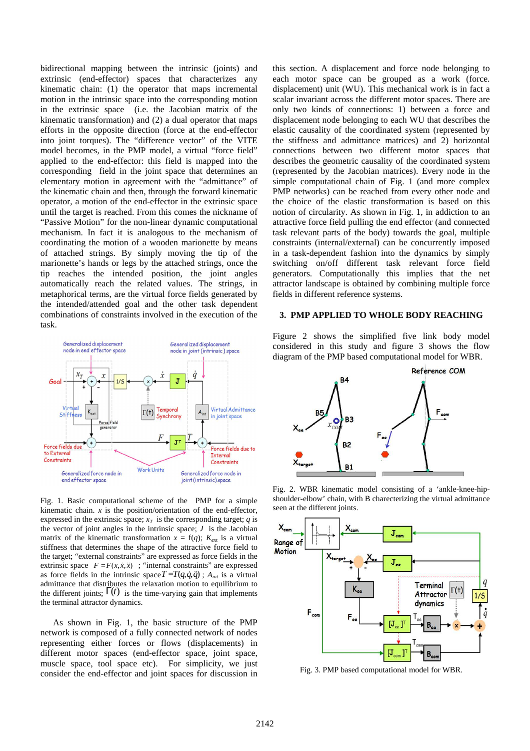bidirectional mapping between the intrinsic (joints) and extrinsic (end-effector) spaces that characterizes any kinematic chain: (1) the operator that maps incremental motion in the intrinsic space into the corresponding motion in the extrinsic space (i.e. the Jacobian matrix of the kinematic transformation) and (2) a dual operator that maps efforts in the opposite direction (force at the end-effector into joint torques). The "difference vector" of the VITE model becomes, in the PMP model, a virtual "force field" applied to the end-effector: this field is mapped into the corresponding field in the joint space that determines an elementary motion in agreement with the "admittance" of the kinematic chain and then, through the forward kinematic operator, a motion of the end-effector in the extrinsic space until the target is reached. From this comes the nickname of "Passive Motion" for the non-linear dynamic computational mechanism. In fact it is analogous to the mechanism of coordinating the motion of a wooden marionette by means of attached strings. By simply moving the tip of the marionette's hands or legs by the attached strings, once the tip reaches the intended position, the joint angles automatically reach the related values. The strings, in metaphorical terms, are the virtual force fields generated by the intended/attended goal and the other task dependent combinations of constraints involved in the execution of the task.



Fig. 1. Basic computational scheme of the PMP for a simple kinematic chain.  $x$  is the position/orientation of the end-effector, expressed in the extrinsic space;  $x_T$  is the corresponding target; *q* is the vector of joint angles in the intrinsic space;  $J$  is the Jacobian matrix of the kinematic transformation  $x = f(q)$ ;  $K_{ext}$  is a virtual stiffness that determines the shape of the attractive force field to the target; "external constraints" are expressed as force fields in the extrinsic space  $F = F(x, \dot{x}, \ddot{x})$ ; "internal constraints" are expressed as force fields in the intrinsic space  $T = T(q, \dot{q}, \ddot{q})$ ;  $A_{int}$  is a virtual admittance that distributes the relaxation motion to equilibrium to the different joints;  $\Gamma(t)$  is the time-varying gain that implements the terminal attractor dynamics.

As shown in Fig. 1, the basic structure of the PMP network is composed of a fully connected network of nodes representing either forces or flows (displacements) in different motor spaces (end-effector space, joint space, muscle space, tool space etc). For simplicity, we just consider the end-effector and joint spaces for discussion in this section. A displacement and force node belonging to each motor space can be grouped as a work (force. displacement) unit (WU). This mechanical work is in fact a scalar invariant across the different motor spaces. There are only two kinds of connections: 1) between a force and displacement node belonging to each WU that describes the elastic causality of the coordinated system (represented by the stiffness and admittance matrices) and 2) horizontal connections between two different motor spaces that describes the geometric causality of the coordinated system (represented by the Jacobian matrices). Every node in the simple computational chain of Fig. 1 (and more complex PMP networks) can be reached from every other node and the choice of the elastic transformation is based on this notion of circularity. As shown in Fig. 1, in addiction to an attractive force field pulling the end effector (and connected task relevant parts of the body) towards the goal, multiple constraints (internal/external) can be concurrently imposed in a task-dependent fashion into the dynamics by simply switching on/off different task relevant force field generators. Computationally this implies that the net attractor landscape is obtained by combining multiple force fields in different reference systems.

#### **3. PMP APPLIED TO WHOLE BODY REACHING**

Figure 2 shows the simplified five link body model considered in this study and figure 3 shows the flow diagram of the PMP based computational model for WBR.



Fig. 2. WBR kinematic model consisting of a 'ankle-knee-hipshoulder-elbow' chain, with B charecterizing the virtual admittance seen at the different joints.



Fig. 3. PMP based computational model for WBR.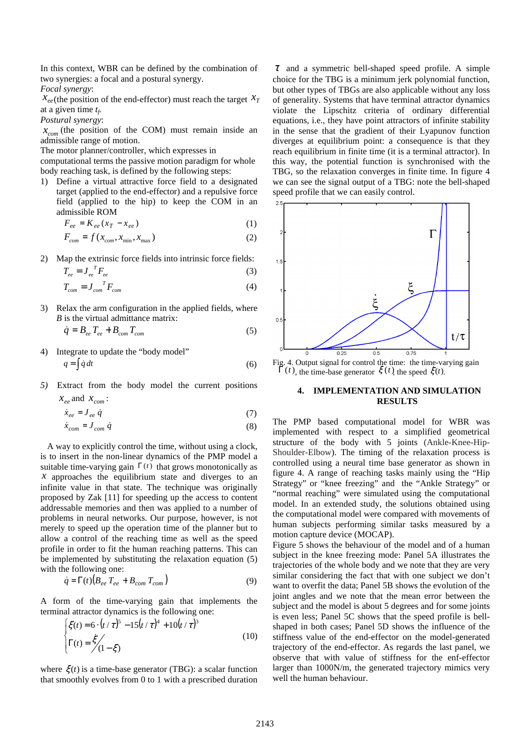In this context, WBR can be defined by the combination of two synergies: a focal and a postural synergy.

*Focal synergy*:

 $\chi_{ee}$ (the position of the end-effector) must reach the target  $\chi_T$ at a given time *t<sup>f</sup> .* 

*Postural synergy*:

 $x_{com}$  (the position of the COM) must remain inside an admissible range of motion.

The motor planner/controller, which expresses in

computational terms the passive motion paradigm for whole body reaching task, is defined by the following steps:

1) Define a virtual attractive force field to a designated target (applied to the end-effector) and a repulsive force field (applied to the hip) to keep the COM in an admissible ROM

$$
F_{ee} = K_{ee} (x_T - x_{ee})
$$
 (1)

$$
F_{com} = f(x_{com}, x_{min}, x_{max})
$$
\n(2)

2) Map the extrinsic force fields into intrinsic force fields:

$$
T_{ee} = J_{ee}^{\ \ T} F_{ee} \tag{3}
$$

$$
T_{com} = J_{com}^T F_{com} \tag{4}
$$

3) Relax the arm configuration in the applied fields, where *B* is the virtual admittance matrix:

$$
\dot{q} = B_{ee} T_{ee} + B_{com} T_{com} \tag{5}
$$

- 4) Integrate to update the "body model"  $q = \int \dot{q} \, dt$  (6)
- *5)* Extract from the body model the current positions  $x_{ee}$  and  $x_{com}$ :

$$
\dot{x}_{ee} = J_{ee} \dot{q} \tag{7}
$$

$$
\dot{x}_{com} = J_{com} \dot{q} \tag{8}
$$

 A way to explicitly control the time, without using a clock, is to insert in the non-linear dynamics of the PMP model a suitable time-varying gain  $\Gamma(t)$  that grows monotonically as  $x$  approaches the equilibrium state and diverges to an infinite value in that state. The technique was originally proposed by Zak [11] for speeding up the access to content addressable memories and then was applied to a number of problems in neural networks. Our purpose, however, is not merely to speed up the operation time of the planner but to allow a control of the reaching time as well as the speed profile in order to fit the human reaching patterns. This can be implemented by substituting the relaxation equation (5) with the following one:

$$
\dot{q} = \Gamma(t) \left( B_{ee} T_{ee} + B_{com} T_{com} \right) \tag{9}
$$

A form of the time-varying gain that implements the terminal attractor dynamics is the following one:

$$
\begin{cases} \xi(t) = 6 \cdot (t/\tau)^5 - 15(t/\tau)^4 + 10(t/\tau)^3 \\ \Gamma(t) = \frac{\xi}{2} \left(1 - \xi\right) \end{cases}
$$
(10)

where  $\xi(t)$  is a time-base generator (TBG): a scalar function that smoothly evolves from 0 to 1 with a prescribed duration

 $\tau$  and a symmetric bell-shaped speed profile. A simple choice for the TBG is a minimum jerk polynomial function, but other types of TBGs are also applicable without any loss of generality. Systems that have terminal attractor dynamics violate the Lipschitz criteria of ordinary differential equations, i.e., they have point attractors of infinite stability in the sense that the gradient of their Lyapunov function diverges at equilibrium point: a consequence is that they reach equilibrium in finite time (it is a terminal attractor). In this way, the potential function is synchronised with the TBG, so the relaxation converges in finite time. In figure 4 we can see the signal output of a TBG: note the bell-shaped speed profile that we can easily control.



Fig. 4. Output signal for control the time: the time-varying gain  $\Gamma(t)$ , the time-base generator  $\zeta(t)$ , the speed  $\zeta(t)$ .

#### **4. IMPLEMENTATION AND SIMULATION RESULTS**

The PMP based computational model for WBR was implemented with respect to a simplified geometrical structure of the body with 5 joints (Ankle-Knee-Hip-Shoulder-Elbow). The timing of the relaxation process is controlled using a neural time base generator as shown in figure 4. A range of reaching tasks mainly using the "Hip Strategy" or "knee freezing" and the "Ankle Strategy" or "normal reaching" were simulated using the computational model. In an extended study, the solutions obtained using the computational model were compared with movements of human subjects performing similar tasks measured by a motion capture device (MOCAP).

Figure 5 shows the behaviour of the model and of a human subject in the knee freezing mode: Panel 5A illustrates the trajectories of the whole body and we note that they are very similar considering the fact that with one subject we don't want to overfit the data; Panel 5B shows the evolution of the joint angles and we note that the mean error between the subject and the model is about 5 degrees and for some joints is even less; Panel 5C shows that the speed profile is bellshaped in both cases; Panel 5D shows the influence of the stiffness value of the end-effector on the model-generated trajectory of the end-effector. As regards the last panel, we observe that with value of stiffness for the enf-effector larger than 1000N/m, the generated trajectory mimics very well the human behaviour.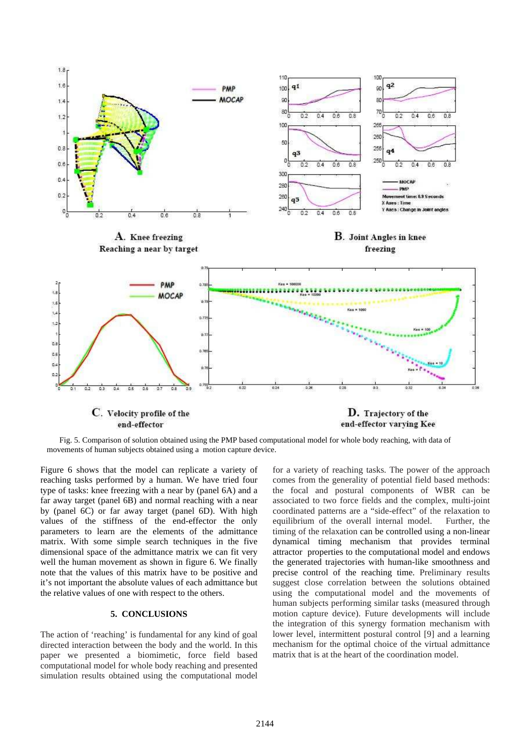

Fig. 5. Comparison of solution obtained using the PMP based computational model for whole body reaching, with data of movements of human subjects obtained using a motion capture device.

Figure 6 shows that the model can replicate a variety of reaching tasks performed by a human. We have tried four type of tasks: knee freezing with a near by (panel 6A) and a far away target (panel 6B) and normal reaching with a near by (panel 6C) or far away target (panel 6D). With high values of the stiffness of the end-effector the only parameters to learn are the elements of the admittance matrix. With some simple search techniques in the five dimensional space of the admittance matrix we can fit very well the human movement as shown in figure 6. We finally note that the values of this matrix have to be positive and it's not important the absolute values of each admittance but the relative values of one with respect to the others.

# **5. CONCLUSIONS**

The action of 'reaching' is fundamental for any kind of goal directed interaction between the body and the world. In this paper we presented a biomimetic, force field based computational model for whole body reaching and presented simulation results obtained using the computational model for a variety of reaching tasks. The power of the approach comes from the generality of potential field based methods: the focal and postural components of WBR can be associated to two force fields and the complex, multi-joint coordinated patterns are a "side-effect" of the relaxation to equilibrium of the overall internal model. Further, the timing of the relaxation can be controlled using a non-linear dynamical timing mechanism that provides terminal attractor properties to the computational model and endows the generated trajectories with human-like smoothness and precise control of the reaching time. Preliminary results suggest close correlation between the solutions obtained using the computational model and the movements of human subjects performing similar tasks (measured through motion capture device). Future developments will include the integration of this synergy formation mechanism with lower level, intermittent postural control [9] and a learning mechanism for the optimal choice of the virtual admittance matrix that is at the heart of the coordination model.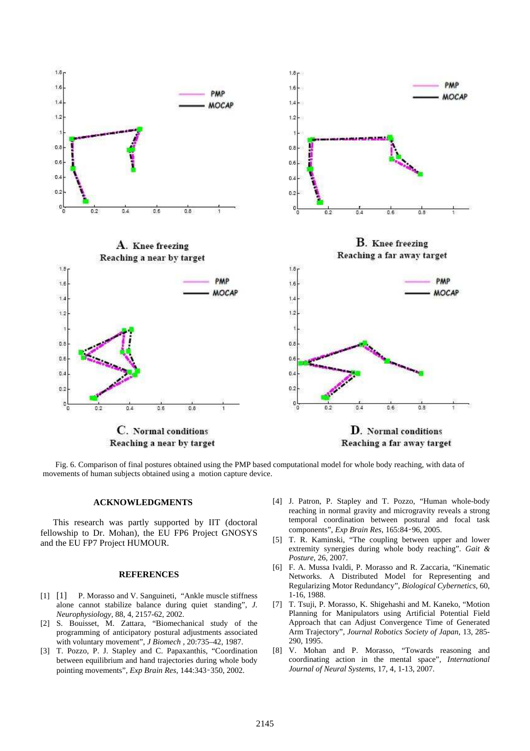

Fig. 6. Comparison of final postures obtained using the PMP based computational model for whole body reaching, with data of movements of human subjects obtained using a motion capture device.

### **ACKNOWLEDGMENTS**

This research was partly supported by IIT (doctoral fellowship to Dr. Mohan), the EU FP6 Project GNOSYS and the EU FP7 Project HUMOUR.

#### **REFERENCES**

- [1] [1] P. Morasso and V. Sanguineti, "Ankle muscle stiffness alone cannot stabilize balance during quiet standing", *J. Neurophysiology*, 88, 4, 2157-62, 2002.
- [2] S. Bouisset, M. Zattara, "Biomechanical study of the programming of anticipatory postural adjustments associated with voluntary movement", *J Biomech* , 20:735–42, 1987.
- [3] T. Pozzo, P. J. Stapley and C. Papaxanthis, "Coordination between equilibrium and hand trajectories during whole body pointing movements", *Exp Brain Res*, 144:343–350, 2002.
- [4] J. Patron, P. Stapley and T. Pozzo, "Human whole-body reaching in normal gravity and microgravity reveals a strong temporal coordination between postural and focal task components", *Exp Brain Res*, 165:84–96, 2005.
- [5] T. R. Kaminski, "The coupling between upper and lower extremity synergies during whole body reaching". *Gait & Posture*, 26, 2007.
- [6] F. A. Mussa Ivaldi, P. Morasso and R. Zaccaria, "Kinematic Networks. A Distributed Model for Representing and Regularizing Motor Redundancy", *Biological Cybernetics*, 60, 1-16, 1988.
- [7] T. Tsuji, P. Morasso, K. Shigehashi and M. Kaneko, "Motion Planning for Manipulators using Artificial Potential Field Approach that can Adjust Convergence Time of Generated Arm Trajectory", *Journal Robotics Society of Japan*, 13, 285- 290, 1995.
- [8] V. Mohan and P. Morasso, "Towards reasoning and coordinating action in the mental space", *International Journal of Neural Systems*, 17, 4, 1-13, 2007.